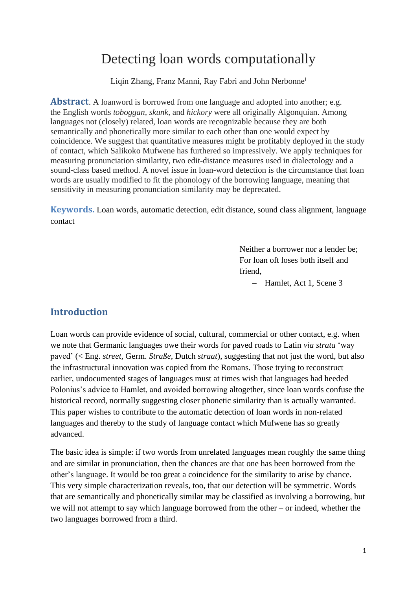# Detecting loan words computationally

Liqin Zhang, Franz Manni, Ray Fabri and John Nerbonne<sup>i</sup>

**Abstract**. A loanword is borrowed from one language and adopted into another; e.g. the English words *toboggan, skunk,* and *hickory* were all originally Algonquian. Among languages not (closely) related, loan words are recognizable because they are both semantically and phonetically more similar to each other than one would expect by coincidence. We suggest that quantitative measures might be profitably deployed in the study of contact, which Salikoko Mufwene has furthered so impressively. We apply techniques for measuring pronunciation similarity, two edit-distance measures used in dialectology and a sound-class based method. A novel issue in loan-word detection is the circumstance that loan words are usually modified to fit the phonology of the borrowing language, meaning that sensitivity in measuring pronunciation similarity may be deprecated.

**Keywords.** Loan words, automatic detection, edit distance, sound class alignment, language contact

> Neither a borrower nor a lender be; For loan oft loses both itself and friend,

> > − Hamlet, Act 1, Scene 3

## **Introduction**

Loan words can provide evidence of social, cultural, commercial or other contact, e.g. when we note that Germanic languages owe their words for paved roads to Latin *via strata* 'way paved' (< Eng. *street,* Germ. *Straße,* Dutch *straat*), suggesting that not just the word, but also the infrastructural innovation was copied from the Romans. Those trying to reconstruct earlier, undocumented stages of languages must at times wish that languages had heeded Polonius's advice to Hamlet, and avoided borrowing altogether, since loan words confuse the historical record, normally suggesting closer phonetic similarity than is actually warranted. This paper wishes to contribute to the automatic detection of loan words in non-related languages and thereby to the study of language contact which Mufwene has so greatly advanced.

The basic idea is simple: if two words from unrelated languages mean roughly the same thing and are similar in pronunciation, then the chances are that one has been borrowed from the other's language. It would be too great a coincidence for the similarity to arise by chance. This very simple characterization reveals, too, that our detection will be symmetric. Words that are semantically and phonetically similar may be classified as involving a borrowing, but we will not attempt to say which language borrowed from the other – or indeed, whether the two languages borrowed from a third.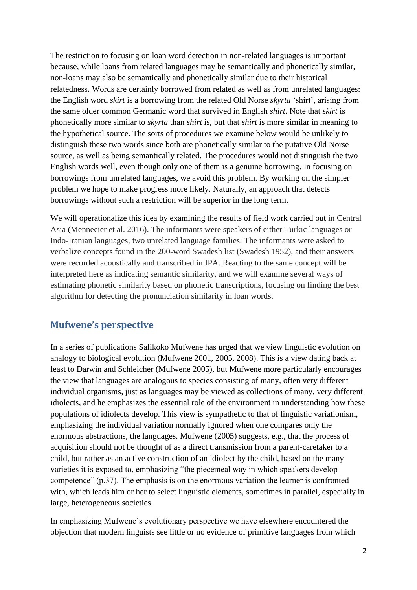The restriction to focusing on loan word detection in non-related languages is important because, while loans from related languages may be semantically and phonetically similar, non-loans may also be semantically and phonetically similar due to their historical relatedness. Words are certainly borrowed from related as well as from unrelated languages: the English word *skirt* is a borrowing from the related Old Norse *skyrta* 'shirt', arising from the same older common Germanic word that survived in English *shirt*. Note that *skirt* is phonetically more similar to *skyrta* than *shirt* is, but that *shirt* is more similar in meaning to the hypothetical source. The sorts of procedures we examine below would be unlikely to distinguish these two words since both are phonetically similar to the putative Old Norse source, as well as being semantically related. The procedures would not distinguish the two English words well, even though only one of them is a genuine borrowing. In focusing on borrowings from unrelated languages, we avoid this problem. By working on the simpler problem we hope to make progress more likely. Naturally, an approach that detects borrowings without such a restriction will be superior in the long term.

We will operationalize this idea by examining the results of field work carried out in Central Asia (Mennecier et al. 2016). The informants were speakers of either Turkic languages or Indo-Iranian languages, two unrelated language families. The informants were asked to verbalize concepts found in the 200-word Swadesh list (Swadesh 1952), and their answers were recorded acoustically and transcribed in IPA. Reacting to the same concept will be interpreted here as indicating semantic similarity, and we will examine several ways of estimating phonetic similarity based on phonetic transcriptions, focusing on finding the best algorithm for detecting the pronunciation similarity in loan words.

# **Mufwene's perspective**

In a series of publications Salikoko Mufwene has urged that we view linguistic evolution on analogy to biological evolution (Mufwene 2001, 2005, 2008). This is a view dating back at least to Darwin and Schleicher (Mufwene 2005), but Mufwene more particularly encourages the view that languages are analogous to species consisting of many, often very different individual organisms, just as languages may be viewed as collections of many, very different idiolects, and he emphasizes the essential role of the environment in understanding how these populations of idiolects develop. This view is sympathetic to that of linguistic variationism, emphasizing the individual variation normally ignored when one compares only the enormous abstractions, the languages. Mufwene (2005) suggests, e.g., that the process of acquisition should not be thought of as a direct transmission from a parent-caretaker to a child, but rather as an active construction of an idiolect by the child, based on the many varieties it is exposed to, emphasizing "the piecemeal way in which speakers develop competence" (p.37). The emphasis is on the enormous variation the learner is confronted with, which leads him or her to select linguistic elements, sometimes in parallel, especially in large, heterogeneous societies.

In emphasizing Mufwene's evolutionary perspective we have elsewhere encountered the objection that modern linguists see little or no evidence of primitive languages from which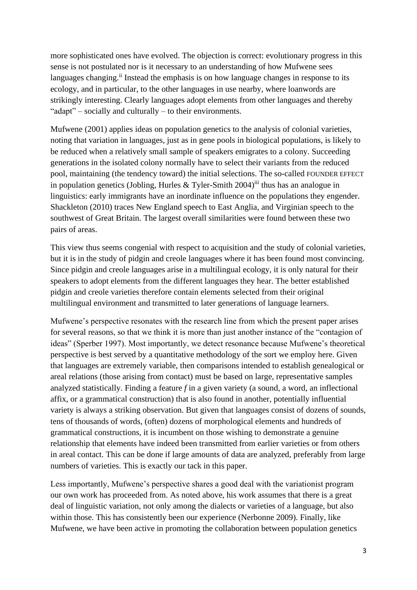more sophisticated ones have evolved. The objection is correct: evolutionary progress in this sense is not postulated nor is it necessary to an understanding of how Mufwene sees languages changing.<sup>ii</sup> Instead the emphasis is on how language changes in response to its ecology, and in particular, to the other languages in use nearby, where loanwords are strikingly interesting. Clearly languages adopt elements from other languages and thereby "adapt" – socially and culturally – to their environments.

Mufwene (2001) applies ideas on population genetics to the analysis of colonial varieties, noting that variation in languages, just as in gene pools in biological populations, is likely to be reduced when a relatively small sample of speakers emigrates to a colony. Succeeding generations in the isolated colony normally have to select their variants from the reduced pool, maintaining (the tendency toward) the initial selections. The so-called FOUNDER EFFECT in population genetics (Jobling, Hurles & Tyler-Smith 2004)<sup>iii</sup> thus has an analogue in linguistics: early immigrants have an inordinate influence on the populations they engender. Shackleton (2010) traces New England speech to East Anglia, and Virginian speech to the southwest of Great Britain. The largest overall similarities were found between these two pairs of areas.

This view thus seems congenial with respect to acquisition and the study of colonial varieties, but it is in the study of pidgin and creole languages where it has been found most convincing. Since pidgin and creole languages arise in a multilingual ecology, it is only natural for their speakers to adopt elements from the different languages they hear. The better established pidgin and creole varieties therefore contain elements selected from their original multilingual environment and transmitted to later generations of language learners.

Mufwene's perspective resonates with the research line from which the present paper arises for several reasons, so that we think it is more than just another instance of the "contagion of ideas" (Sperber 1997). Most importantly, we detect resonance because Mufwene's theoretical perspective is best served by a quantitative methodology of the sort we employ here. Given that languages are extremely variable, then comparisons intended to establish genealogical or areal relations (those arising from contact) must be based on large, representative samples analyzed statistically. Finding a feature *f* in a given variety (a sound, a word, an inflectional affix, or a grammatical construction) that is also found in another, potentially influential variety is always a striking observation. But given that languages consist of dozens of sounds, tens of thousands of words, (often) dozens of morphological elements and hundreds of grammatical constructions, it is incumbent on those wishing to demonstrate a genuine relationship that elements have indeed been transmitted from earlier varieties or from others in areal contact. This can be done if large amounts of data are analyzed, preferably from large numbers of varieties. This is exactly our tack in this paper.

Less importantly, Mufwene's perspective shares a good deal with the variationist program our own work has proceeded from. As noted above, his work assumes that there is a great deal of linguistic variation, not only among the dialects or varieties of a language, but also within those. This has consistently been our experience (Nerbonne 2009). Finally, like Mufwene, we have been active in promoting the collaboration between population genetics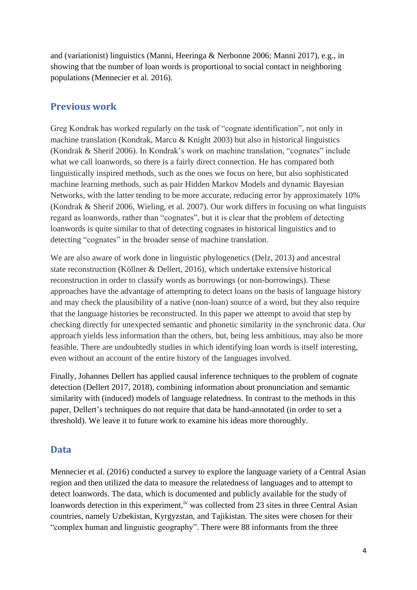and (variationist) linguistics (Manni, Heeringa & Nerbonne 2006; Manni 2017), e.g., in showing that the number of loan words is proportional to social contact in neighboring populations (Mennecier et al. 2016).

## **Previous work**

Greg Kondrak has worked regularly on the task of "cognate identification", not only in machine translation (Kondrak, Marcu & Knight 2003) but also in historical linguistics (Kondrak & Sherif 2006). In Kondrak's work on machine translation, "cognates" include what we call loanwords, so there is a fairly direct connection. He has compared both linguistically inspired methods, such as the ones we focus on here, but also sophisticated machine learning methods, such as pair Hidden Markov Models and dynamic Bayesian Networks, with the latter tending to be more accurate, reducing error by approximately 10% (Kondrak & Sherif 2006, Wieling, et al. 2007). Our work differs in focusing on what linguists regard as loanwords, rather than "cognates", but it is clear that the problem of detecting loanwords is quite similar to that of detecting cognates in historical linguistics and to detecting "cognates" in the broader sense of machine translation.

We are also aware of work done in linguistic phylogenetics (Delz, 2013) and ancestral state reconstruction (Köllner & Dellert, 2016), which undertake extensive historical reconstruction in order to classify words as borrowings (or non-borrowings). These approaches have the advantage of attempting to detect loans on the basis of language history and may check the plausibility of a native (non-loan) source of a word, but they also require that the language histories be reconstructed. In this paper we attempt to avoid that step by checking directly for unexpected semantic and phonetic similarity in the synchronic data. Our approach yields less information than the others, but, being less ambitious, may also be more feasible. There are undoubtedly studies in which identifying loan words is itself interesting, even without an account of the entire history of the languages involved.

Finally, Johannes Dellert has applied causal inference techniques to the problem of cognate detection (Dellert 2017, 2018), combining information about pronunciation and semantic similarity with (induced) models of language relatedness. In contrast to the methods in this paper, Dellert's techniques do not require that data be hand-annotated (in order to set a threshold). We leave it to future work to examine his ideas more thoroughly.

## **Data**

Mennecier et al. (2016) conducted a survey to explore the language variety of a Central Asian region and then utilized the data to measure the relatedness of languages and to attempt to detect loanwords. The data, which is documented and publicly available for the study of loanwords detection in this experiment,<sup>iv</sup> was collected from 23 sites in three Central Asian countries, namely Uzbekistan, Kyrgyzstan, and Tajikistan. The sites were chosen for their "complex human and linguistic geography". There were 88 informants from the three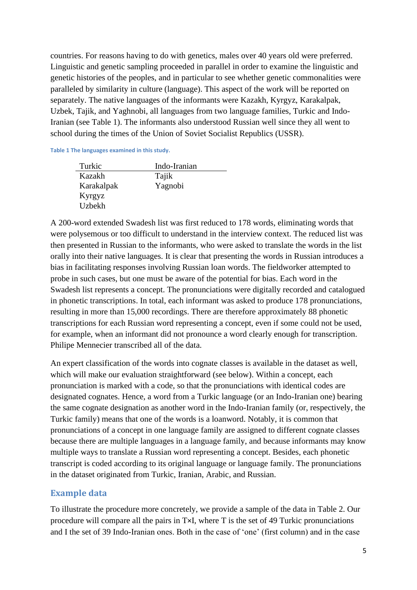countries. For reasons having to do with genetics, males over 40 years old were preferred. Linguistic and genetic sampling proceeded in parallel in order to examine the linguistic and genetic histories of the peoples, and in particular to see whether genetic commonalities were paralleled by similarity in culture (language). This aspect of the work will be reported on separately. The native languages of the informants were Kazakh, Kyrgyz, Karakalpak, Uzbek, Tajik, and Yaghnobi, all languages from two language families, Turkic and Indo-Iranian (see Table 1). The informants also understood Russian well since they all went to school during the times of the Union of Soviet Socialist Republics (USSR).

**Table 1 The languages examined in this study.**

| Turkic     | Indo-Iranian |
|------------|--------------|
| Kazakh     | Tajik        |
| Karakalpak | Yagnobi      |
| Kyrgyz     |              |
| Uzbekh     |              |

A 200-word extended Swadesh list was first reduced to 178 words, eliminating words that were polysemous or too difficult to understand in the interview context. The reduced list was then presented in Russian to the informants, who were asked to translate the words in the list orally into their native languages. It is clear that presenting the words in Russian introduces a bias in facilitating responses involving Russian loan words. The fieldworker attempted to probe in such cases, but one must be aware of the potential for bias. Each word in the Swadesh list represents a concept. The pronunciations were digitally recorded and catalogued in phonetic transcriptions. In total, each informant was asked to produce 178 pronunciations, resulting in more than 15,000 recordings. There are therefore approximately 88 phonetic transcriptions for each Russian word representing a concept, even if some could not be used, for example, when an informant did not pronounce a word clearly enough for transcription. Philipe Mennecier transcribed all of the data.

An expert classification of the words into cognate classes is available in the dataset as well, which will make our evaluation straightforward (see below). Within a concept, each pronunciation is marked with a code, so that the pronunciations with identical codes are designated cognates. Hence, a word from a Turkic language (or an Indo-Iranian one) bearing the same cognate designation as another word in the Indo-Iranian family (or, respectively, the Turkic family) means that one of the words is a loanword. Notably, it is common that pronunciations of a concept in one language family are assigned to different cognate classes because there are multiple languages in a language family, and because informants may know multiple ways to translate a Russian word representing a concept. Besides, each phonetic transcript is coded according to its original language or language family. The pronunciations in the dataset originated from Turkic, Iranian, Arabic, and Russian.

#### **Example data**

To illustrate the procedure more concretely, we provide a sample of the data in Table 2. Our procedure will compare all the pairs in T×I, where T is the set of 49 Turkic pronunciations and I the set of 39 Indo-Iranian ones. Both in the case of 'one' (first column) and in the case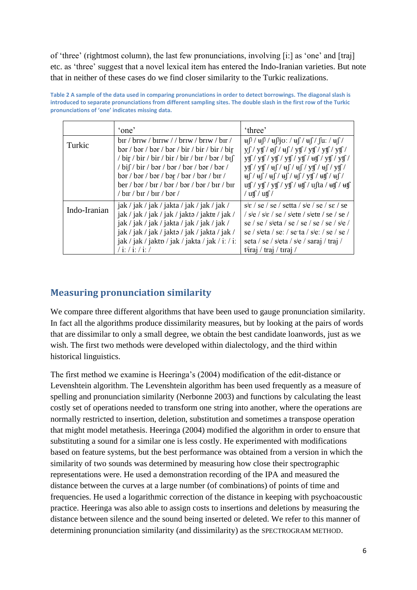of 'three' (rightmost column), the last few pronunciations, involving [i:] as 'one' and [traj] etc. as 'three' suggest that a novel lexical item has entered the Indo-Iranian varieties. But note that in neither of these cases do we find closer similarity to the Turkic realizations.

|              | 'one'                                                                                                                                                                                                                                                                                                                                                                                                                                                                                                                                                                                                                                                                                                                                                                                                                                                                                                             | 'three'                                                                                                                                                                                                                                                                                                                                                                                                                                                                                                                                                                                                                                                                                                                                                                                                                                                                                                                                                                                                                                                                                                                                                                                                                                                                                                                                                                                                                                                                                                                                                                                                                                                                                                                                                                                             |
|--------------|-------------------------------------------------------------------------------------------------------------------------------------------------------------------------------------------------------------------------------------------------------------------------------------------------------------------------------------------------------------------------------------------------------------------------------------------------------------------------------------------------------------------------------------------------------------------------------------------------------------------------------------------------------------------------------------------------------------------------------------------------------------------------------------------------------------------------------------------------------------------------------------------------------------------|-----------------------------------------------------------------------------------------------------------------------------------------------------------------------------------------------------------------------------------------------------------------------------------------------------------------------------------------------------------------------------------------------------------------------------------------------------------------------------------------------------------------------------------------------------------------------------------------------------------------------------------------------------------------------------------------------------------------------------------------------------------------------------------------------------------------------------------------------------------------------------------------------------------------------------------------------------------------------------------------------------------------------------------------------------------------------------------------------------------------------------------------------------------------------------------------------------------------------------------------------------------------------------------------------------------------------------------------------------------------------------------------------------------------------------------------------------------------------------------------------------------------------------------------------------------------------------------------------------------------------------------------------------------------------------------------------------------------------------------------------------------------------------------------------------|
| Turkic       | $\frac{1}{2}$ briv / $\frac{1}{2}$ briv / $\frac{1}{2}$ briv / $\frac{1}{2}$ briv / $\frac{1}{2}$ briv /<br>$bar /$ bar $/$ bar $/$ bar $/$ bir $/$ bir $/$ bir $/$ bir<br>/ bir / bir / bir / bir / bir / bir / b $\frac{1}{2}$ / bir / bir / bir / bir / bir / bir / bir / bir / bir / bir / bir / bir / bir / bir / bir / bir / bir / bir / bir / bir / bir / bir / bir / bir / bir / bir / bir / bir / bi<br>$/\text{bi} \int / \text{bir} / \text{bar} / \text{bar} / \text{bar} / \text{bar} / \text{bar}$<br>$bar /bar /bar /$ bar / bar / bar / bar / bar / bir /<br>$\frac{1}{2}$ ber / bir / bir / bir / bir / bir / bir / bir / bir / bir / bir / bir / bir / bir / bir / bir / bir / bir / bir / bir / bir / bir / bir / bir / bir / bir / bir / bir / bir / bir / bir / bir / bir / bir / bir / b<br>/ $\frac{\hbar}{\hbar}$ / $\frac{\hbar}{\hbar}$ / $\frac{\hbar}{\hbar}$ / $\frac{\hbar}{\hbar}$ | $\mathbf{u}$ [ $\int$ / $\mathbf{u}$ [ $\int$ ] $\mathbf{u}$ : / $\mathbf{u}$ $\int$ / $\mathbf{u}$ $\int$ / $\mathbf{u}$ : / $\mathbf{u}$ $\int$ / $\mathbf{u}$<br>$y \int / y f / \phi \int / \mu \int / y f / y f / y f / y f /$<br>$y \nleftrightarrow f / y \nleftrightarrow f / y \nleftrightarrow f / y \nleftrightarrow f / y \nleftrightarrow f / y \nleftrightarrow f / y \nleftrightarrow f / y \nleftrightarrow f / y \nleftrightarrow f / y \nleftrightarrow f / y \nleftrightarrow f / y \nleftrightarrow f / y \nleftrightarrow f / y \nleftrightarrow f / y \nleftrightarrow f / y \nleftrightarrow f / y \nleftrightarrow f / y \nleftrightarrow f / y \nleftrightarrow f / y \nleftrightarrow f / y \nleftrightarrow f / y \nleftrightarrow f / y \nleftrightarrow f / y \nleftrightarrow f / y \nleftrightarrow f / y \nleftrightarrow f / y \nleftrightarrow f / y \nleftrightarrow f / y \nleftrightarrow f / y \nleftrightarrow f / y \nleftrightarrow f / y \nleftrightarrow f / y \nleftrightarrow f / y \nleftrightarrow f / y \nleftrightarrow f / y \nleftrightarrow f / y \nleftrightarrow$<br>$y \frac{f}{f}$ / $y \frac{f}{u}$ / $\frac{df}{u}$ / $\frac{df}{v}$ / $\frac{df}{v}$ / $\frac{df}{v}$<br>$\frac{df}{dt}/\frac{df}{dt}/\frac{df}{dt}/\frac{df}{dt}/\frac{df}{dt}$<br>$\left(\frac{1}{2} \cdot \frac{1}{2} \cdot \frac{1}{2} \cdot \frac{1}{2} \cdot \frac{1}{2} \cdot \frac{1}{2} \cdot \frac{1}{2} \cdot \frac{1}{2} \cdot \frac{1}{2} \cdot \frac{1}{2} \cdot \frac{1}{2} \cdot \frac{1}{2} \cdot \frac{1}{2} \cdot \frac{1}{2} \cdot \frac{1}{2} \cdot \frac{1}{2} \cdot \frac{1}{2} \cdot \frac{1}{2} \cdot \frac{1}{2} \cdot \frac{1}{2} \cdot \frac{1}{2} \cdot \frac{1}{2} \cdot \frac{1}{2} \cdot \frac{1}{2} \cdot \frac$<br>$/$ utf $/$ utf $/$ |
| Indo-Iranian | $jak / jak / jak / jak / jak / jak / jak / jak /$<br>jak / jak / jak / jak / jakto / jakte / jak /<br>$jak / jak / jak / jak / jak / jak / jak /jak /$<br>jak / jak / jak / jakto / jak / jakta / jak /<br>$jak / jak / jak / jak / jak / jak / jak / i$ : / i:<br>$/$ i: $/$ i: $/$ i: $/$                                                                                                                                                                                                                                                                                                                                                                                                                                                                                                                                                                                                                       | $s$ <sup>i</sup> $\varepsilon$ / se / setta / s <sup>j</sup> e / se / se / se<br>/ $\frac{\text{sig}}{\text{se}}$ / $\frac{\text{sig}}{\text{se}}$ / $\frac{\text{g}}{\text{set}}$ / $\frac{\text{g}}{\text{set}}$ / $\frac{\text{g}}{\text{se}}$ / $\frac{\text{g}}{\text{se}}$ /<br>se / se / sieta / se / se / se / se / sie /<br>se / sieta / se: / se ta / sie: / se / se /<br>seta / se / s <sup>j</sup> eta / s <sup>je</sup> / saraj / traj /<br>t $\frac{1}{\pi}$ iraj / traj /                                                                                                                                                                                                                                                                                                                                                                                                                                                                                                                                                                                                                                                                                                                                                                                                                                                                                                                                                                                                                                                                                                                                                                                                                                                                                                            |

**Table 2 A sample of the data used in comparing pronunciations in order to detect borrowings. The diagonal slash is introduced to separate pronunciations from different sampling sites. The double slash in the first row of the Turkic pronunciations of 'one' indicates missing data.**

## **Measuring pronunciation similarity**

We compare three different algorithms that have been used to gauge pronunciation similarity. In fact all the algorithms produce dissimilarity measures, but by looking at the pairs of words that are dissimilar to only a small degree, we obtain the best candidate loanwords, just as we wish. The first two methods were developed within dialectology, and the third within historical linguistics.

The first method we examine is Heeringa's (2004) modification of the edit-distance or Levenshtein algorithm. The Levenshtein algorithm has been used frequently as a measure of spelling and pronunciation similarity (Nerbonne 2003) and functions by calculating the least costly set of operations needed to transform one string into another, where the operations are normally restricted to insertion, deletion, substitution and sometimes a transpose operation that might model metathesis. Heeringa (2004) modified the algorithm in order to ensure that substituting a sound for a similar one is less costly. He experimented with modifications based on feature systems, but the best performance was obtained from a version in which the similarity of two sounds was determined by measuring how close their spectrographic representations were. He used a demonstration recording of the IPA and measured the distance between the curves at a large number (of combinations) of points of time and frequencies. He used a logarithmic correction of the distance in keeping with psychoacoustic practice. Heeringa was also able to assign costs to insertions and deletions by measuring the distance between silence and the sound being inserted or deleted. We refer to this manner of determining pronunciation similarity (and dissimilarity) as the SPECTROGRAM METHOD.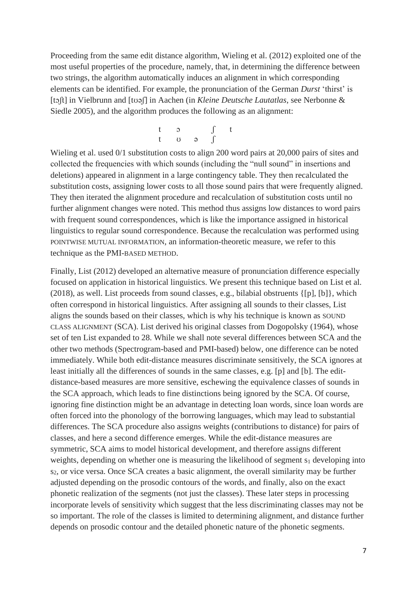Proceeding from the same edit distance algorithm, Wieling et al. (2012) exploited one of the most useful properties of the procedure, namely, that, in determining the difference between two strings, the algorithm automatically induces an alignment in which corresponding elements can be identified. For example, the pronunciation of the German *Durst* 'thirst' is [tɔʃt] in Vielbrunn and [tʊəʃ] in Aachen (in *Kleine Deutsche Lautatlas*, see Nerbonne & Siedle 2005), and the algorithm produces the following as an alignment:

$$
\begin{array}{cccc}\nt & 5 & f & t \\
t & 0 & 9 & \end{array}
$$

Wieling et al. used 0/1 substitution costs to align 200 word pairs at 20,000 pairs of sites and collected the frequencies with which sounds (including the "null sound" in insertions and deletions) appeared in alignment in a large contingency table. They then recalculated the substitution costs, assigning lower costs to all those sound pairs that were frequently aligned. They then iterated the alignment procedure and recalculation of substitution costs until no further alignment changes were noted. This method thus assigns low distances to word pairs with frequent sound correspondences, which is like the importance assigned in historical linguistics to regular sound correspondence. Because the recalculation was performed using POINTWISE MUTUAL INFORMATION, an information-theoretic measure, we refer to this technique as the PMI-BASED METHOD.

Finally, List (2012) developed an alternative measure of pronunciation difference especially focused on application in historical linguistics. We present this technique based on List et al. (2018), as well. List proceeds from sound classes, e.g., bilabial obstruents {[p], [b]}, which often correspond in historical linguistics. After assigning all sounds to their classes, List aligns the sounds based on their classes, which is why his technique is known as SOUND CLASS ALIGNMENT (SCA). List derived his original classes from Dogopolsky (1964), whose set of ten List expanded to 28. While we shall note several differences between SCA and the other two methods (Spectrogram-based and PMI-based) below, one difference can be noted immediately. While both edit-distance measures discriminate sensitively, the SCA ignores at least initially all the differences of sounds in the same classes, e.g. [p] and [b]. The editdistance-based measures are more sensitive, eschewing the equivalence classes of sounds in the SCA approach, which leads to fine distinctions being ignored by the SCA. Of course, ignoring fine distinction might be an advantage in detecting loan words, since loan words are often forced into the phonology of the borrowing languages, which may lead to substantial differences. The SCA procedure also assigns weights (contributions to distance) for pairs of classes, and here a second difference emerges. While the edit-distance measures are symmetric, SCA aims to model historical development, and therefore assigns different weights, depending on whether one is measuring the likelihood of segment  $s_1$  developing into s2, or vice versa. Once SCA creates a basic alignment, the overall similarity may be further adjusted depending on the prosodic contours of the words, and finally, also on the exact phonetic realization of the segments (not just the classes). These later steps in processing incorporate levels of sensitivity which suggest that the less discriminating classes may not be so important. The role of the classes is limited to determining alignment, and distance further depends on prosodic contour and the detailed phonetic nature of the phonetic segments.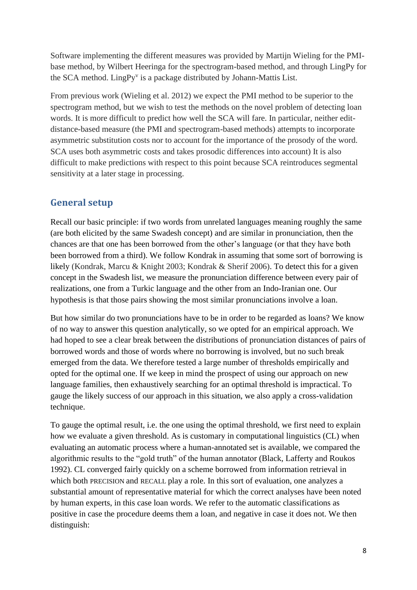Software implementing the different measures was provided by Martijn Wieling for the PMIbase method, by Wilbert Heeringa for the spectrogram-based method, and through LingPy for the SCA method. LingPy<sup>v</sup> is a package distributed by Johann-Mattis List.

From previous work (Wieling et al. 2012) we expect the PMI method to be superior to the spectrogram method, but we wish to test the methods on the novel problem of detecting loan words. It is more difficult to predict how well the SCA will fare. In particular, neither editdistance-based measure (the PMI and spectrogram-based methods) attempts to incorporate asymmetric substitution costs nor to account for the importance of the prosody of the word. SCA uses both asymmetric costs and takes prosodic differences into account) It is also difficult to make predictions with respect to this point because SCA reintroduces segmental sensitivity at a later stage in processing.

# **General setup**

Recall our basic principle: if two words from unrelated languages meaning roughly the same (are both elicited by the same Swadesh concept) and are similar in pronunciation, then the chances are that one has been borrowed from the other's language (or that they have both been borrowed from a third). We follow Kondrak in assuming that some sort of borrowing is likely (Kondrak, Marcu & Knight 2003; Kondrak & Sherif 2006). To detect this for a given concept in the Swadesh list, we measure the pronunciation difference between every pair of realizations, one from a Turkic language and the other from an Indo-Iranian one. Our hypothesis is that those pairs showing the most similar pronunciations involve a loan.

But how similar do two pronunciations have to be in order to be regarded as loans? We know of no way to answer this question analytically, so we opted for an empirical approach. We had hoped to see a clear break between the distributions of pronunciation distances of pairs of borrowed words and those of words where no borrowing is involved, but no such break emerged from the data. We therefore tested a large number of thresholds empirically and opted for the optimal one. If we keep in mind the prospect of using our approach on new language families, then exhaustively searching for an optimal threshold is impractical. To gauge the likely success of our approach in this situation, we also apply a cross-validation technique.

To gauge the optimal result, i.e. the one using the optimal threshold, we first need to explain how we evaluate a given threshold. As is customary in computational linguistics (CL) when evaluating an automatic process where a human-annotated set is available, we compared the algorithmic results to the "gold truth" of the human annotator (Black, Lafferty and Roukos 1992). CL converged fairly quickly on a scheme borrowed from information retrieval in which both PRECISION and RECALL play a role. In this sort of evaluation, one analyzes a substantial amount of representative material for which the correct analyses have been noted by human experts, in this case loan words. We refer to the automatic classifications as positive in case the procedure deems them a loan, and negative in case it does not. We then distinguish: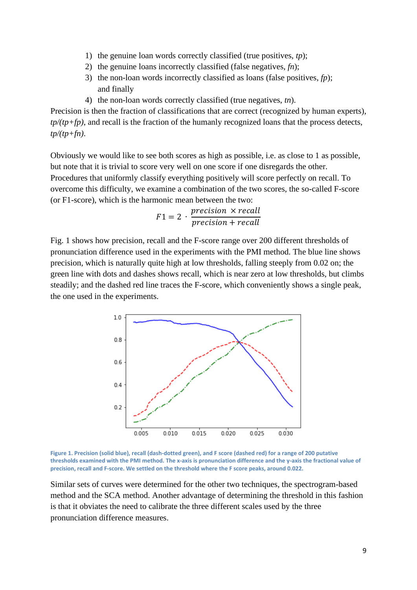- 1) the genuine loan words correctly classified (true positives, *tp*);
- 2) the genuine loans incorrectly classified (false negatives, *fn*);
- 3) the non-loan words incorrectly classified as loans (false positives, *fp*); and finally
- 4) the non-loan words correctly classified (true negatives, *tn*).

Precision is then the fraction of classifications that are correct (recognized by human experts), *tp/(tp+fp)*, and recall is the fraction of the humanly recognized loans that the process detects, *tp/(tp+fn)*.

Obviously we would like to see both scores as high as possible, i.e. as close to 1 as possible, but note that it is trivial to score very well on one score if one disregards the other. Procedures that uniformly classify everything positively will score perfectly on recall. To overcome this difficulty, we examine a combination of the two scores, the so-called F-score (or F1-score), which is the harmonic mean between the two:

$$
F1 = 2 \cdot \frac{precision \times recall}{precision + recall}
$$

Fig. 1 shows how precision, recall and the F-score range over 200 different thresholds of pronunciation difference used in the experiments with the PMI method. The blue line shows precision, which is naturally quite high at low thresholds, falling steeply from 0.02 on; the green line with dots and dashes shows recall, which is near zero at low thresholds, but climbs steadily; and the dashed red line traces the F-score, which conveniently shows a single peak, the one used in the experiments.





Similar sets of curves were determined for the other two techniques, the spectrogram-based method and the SCA method. Another advantage of determining the threshold in this fashion is that it obviates the need to calibrate the three different scales used by the three pronunciation difference measures.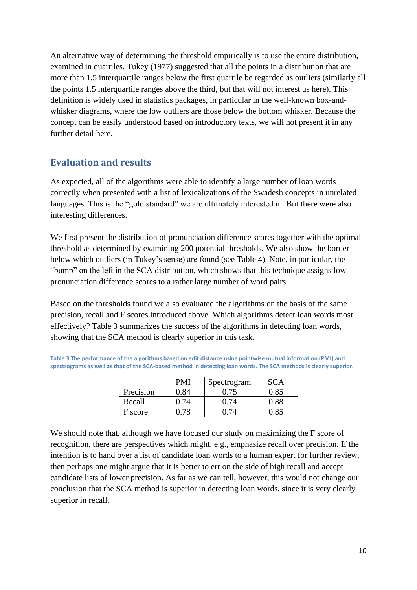An alternative way of determining the threshold empirically is to use the entire distribution, examined in quartiles. Tukey (1977) suggested that all the points in a distribution that are more than 1.5 interquartile ranges below the first quartile be regarded as outliers (similarly all the points 1.5 interquartile ranges above the third, but that will not interest us here). This definition is widely used in statistics packages, in particular in the well-known box-andwhisker diagrams, where the low outliers are those below the bottom whisker. Because the concept can be easily understood based on introductory texts, we will not present it in any further detail here.

## **Evaluation and results**

As expected, all of the algorithms were able to identify a large number of loan words correctly when presented with a list of lexicalizations of the Swadesh concepts in unrelated languages. This is the "gold standard" we are ultimately interested in. But there were also interesting differences.

We first present the distribution of pronunciation difference scores together with the optimal threshold as determined by examining 200 potential thresholds. We also show the border below which outliers (in Tukey's sense) are found (see Table 4). Note, in particular, the "bump" on the left in the SCA distribution, which shows that this technique assigns low pronunciation difference scores to a rather large number of word pairs.

Based on the thresholds found we also evaluated the algorithms on the basis of the same precision, recall and F scores introduced above. Which algorithms detect loan words most effectively? Table 3 summarizes the success of the algorithms in detecting loan words, showing that the SCA method is clearly superior in this task.

**Table 3 The performance of the algorithms based on edit distance using pointwise mutual information (PMI) and spectrograms as well as that of the SCA-based method in detecting loan words. The SCA methods is clearly superior.**

|           | PMI  | Spectrogram |      |
|-----------|------|-------------|------|
| Precision | በ ጸ4 | 0.75        | 0.85 |
| Recall    | በ 74 | በ 74        | 0.88 |
| F score   | 0.78 | () 74       | 0.85 |

We should note that, although we have focused our study on maximizing the F score of recognition, there are perspectives which might, e.g., emphasize recall over precision. If the intention is to hand over a list of candidate loan words to a human expert for further review, then perhaps one might argue that it is better to err on the side of high recall and accept candidate lists of lower precision. As far as we can tell, however, this would not change our conclusion that the SCA method is superior in detecting loan words, since it is very clearly superior in recall.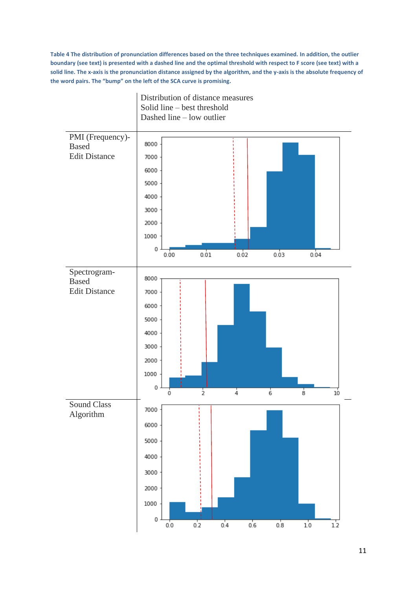**Table 4 The distribution of pronunciation differences based on the three techniques examined. In addition, the outlier boundary (see text) is presented with a dashed line and the optimal threshold with respect to F score (see text) with a solid line. The x-axis is the pronunciation distance assigned by the algorithm, and the y-axis is the absolute frequency of the word pairs. The "bump" on the left of the SCA curve is promising.**

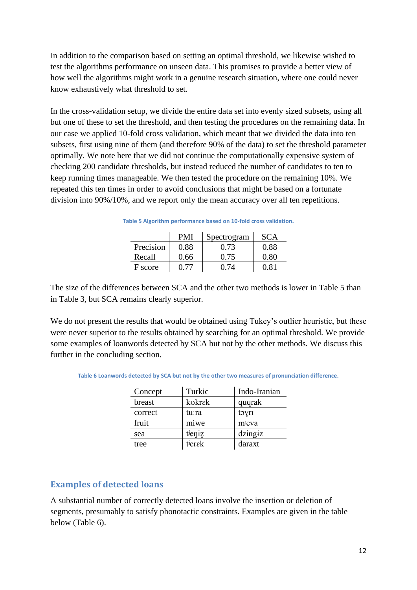In addition to the comparison based on setting an optimal threshold, we likewise wished to test the algorithms performance on unseen data. This promises to provide a better view of how well the algorithms might work in a genuine research situation, where one could never know exhaustively what threshold to set.

In the cross-validation setup, we divide the entire data set into evenly sized subsets, using all but one of these to set the threshold, and then testing the procedures on the remaining data. In our case we applied 10-fold cross validation, which meant that we divided the data into ten subsets, first using nine of them (and therefore 90% of the data) to set the threshold parameter optimally. We note here that we did not continue the computationally expensive system of checking 200 candidate thresholds, but instead reduced the number of candidates to ten to keep running times manageable. We then tested the procedure on the remaining 10%. We repeated this ten times in order to avoid conclusions that might be based on a fortunate division into 90%/10%, and we report only the mean accuracy over all ten repetitions.

|           | <b>PMI</b> | Spectrogram | <b>SCA</b> |
|-----------|------------|-------------|------------|
| Precision | 0.88       | 0.73        | 0.88       |
| Recall    | 0.66       | 0.75        | 0.80       |
| F score   | I) 77      | በ 74        | 0.81       |

**Table 5 Algorithm performance based on 10-fold cross validation.**

The size of the differences between SCA and the other two methods is lower in Table 5 than in Table 3, but SCA remains clearly superior.

We do not present the results that would be obtained using Tukey's outlier heuristic, but these were never superior to the results obtained by searching for an optimal threshold. We provide some examples of loanwords detected by SCA but not by the other methods. We discuss this further in the concluding section.

| Table 6 Loanwords detected by SCA but not by the other two measures of pronunciation difference. |  |
|--------------------------------------------------------------------------------------------------|--|
|--------------------------------------------------------------------------------------------------|--|

| Concept | Turkic | Indo-Iranian |
|---------|--------|--------------|
| breast  | kokrek | quqrak       |
| correct | tu:ra  | toyri        |
| fruit   | miwe   | mieva        |
| sea     | tieniz | dzingiz      |
| tree    | tierek | daraxt       |

#### **Examples of detected loans**

A substantial number of correctly detected loans involve the insertion or deletion of segments, presumably to satisfy phonotactic constraints. Examples are given in the table below (Table 6).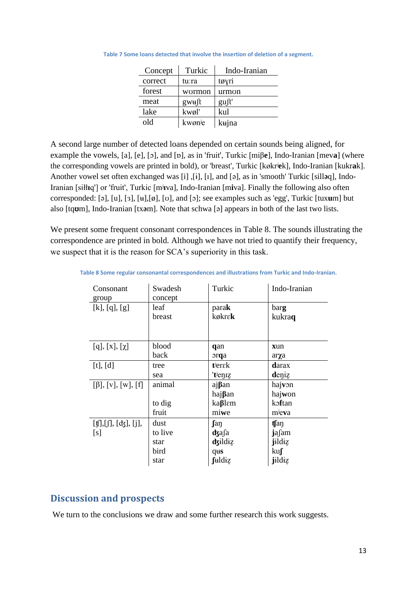| Concept | Turkic | Indo-Iranian |
|---------|--------|--------------|
| correct | tu:ra  | tøyri        |
| forest  | wormon | urmon        |
| meat    | gwu∫t  | gust'        |
| lake    | kwøl'  | kul          |
| old     | kwønje | kujna        |

**Table 7 Some loans detected that involve the insertion of deletion of a segment.**

A second large number of detected loans depended on certain sounds being aligned, for example the vowels, [a], [e], [ɔ], and [ɒ], as in 'fruit', Turkic [miβ**e**], Indo-Iranian [mev**a**] (where the corresponding vowels are printed in bold), or 'breast', Turkic [køkrʲ**e**k], Indo-Iranian [kukr**a**k]. Another vowel set often exchanged was [i] ,[ɨ], [ɪ], and [ə], as in 'smooth' Turkic [sill**ə**q], Indo-Iranian [siłł**ɪ**q'] or 'fruit', Turkic [mʲ**ɪ**va], Indo-Iranian [m**i**va]. Finally the following also often corresponded: [ə], [u], [ɜ], [ʉ],[ø], [ʊ], and [ɔ]; see examples such as 'egg', Turkic [tux**u**m] but also [tq**ʊ**m], Indo-Iranian [tx**ə**m]. Note that schwa [ə] appears in both of the last two lists.

We present some frequent consonant correspondences in Table 8. The sounds illustrating the correspondence are printed in bold. Although we have not tried to quantify their frequency, we suspect that it is the reason for SCA's superiority in this task.

| Consonant<br>group                                                                          | Swadesh<br>concept | Turkic             | Indo-Iranian  |
|---------------------------------------------------------------------------------------------|--------------------|--------------------|---------------|
| [k], [q], [g]                                                                               | leaf               | parak              | barg          |
|                                                                                             | breast             | køkre <b>k</b>     | kukraq        |
|                                                                                             |                    |                    |               |
| [q], [x], [ $\chi$ ]                                                                        | blood              | qan                | xun           |
|                                                                                             | back               | orqa               | arχa          |
| [t], [d]                                                                                    | tree               | tierak             | <b>d</b> arax |
|                                                                                             | sea                | 'tien <sub>z</sub> | deniz         |
| $[\beta], [v], [w], [f]$                                                                    | animal             | ajßan              | hajvon        |
|                                                                                             |                    | hajßan             | hajwon        |
|                                                                                             | to dig             | kaßlem             | koftan        |
|                                                                                             | fruit              | miwe               | mieva         |
| $[\![\mathbf{f}]\!], [\![\mathbf{f}]\!], [\![\mathbf{d}\mathbf{f}]\!], [\![\mathbf{j}]\!],$ | dust               | <b>fan</b>         | tfan          |
| [s]                                                                                         | to live            | dzafa              | jafam         |
|                                                                                             | star               | dzildiz            | jildiz        |
|                                                                                             | bird               | qus                | $ku$ $\int$   |
|                                                                                             | star               | fuldiz             | jildiz        |

**Table 8 Some regular consonantal correspondences and illustrations from Turkic and Indo-Iranian.**

## **Discussion and prospects**

We turn to the conclusions we draw and some further research this work suggests.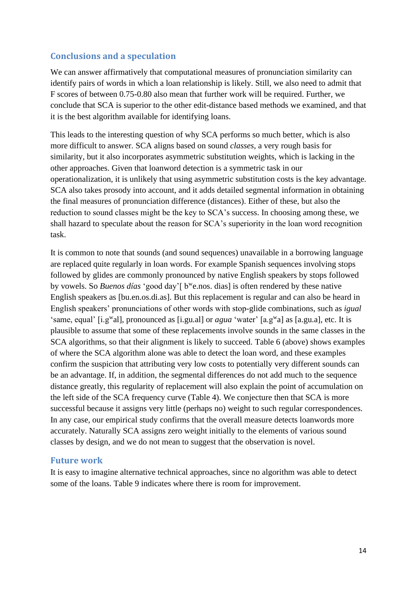## **Conclusions and a speculation**

We can answer affirmatively that computational measures of pronunciation similarity can identify pairs of words in which a loan relationship is likely. Still, we also need to admit that F scores of between 0.75-0.80 also mean that further work will be required. Further, we conclude that SCA is superior to the other edit-distance based methods we examined, and that it is the best algorithm available for identifying loans.

This leads to the interesting question of why SCA performs so much better, which is also more difficult to answer. SCA aligns based on sound *classes,* a very rough basis for similarity, but it also incorporates asymmetric substitution weights, which is lacking in the other approaches. Given that loanword detection is a symmetric task in our operationalization, it is unlikely that using asymmetric substitution costs is the key advantage. SCA also takes prosody into account, and it adds detailed segmental information in obtaining the final measures of pronunciation difference (distances). Either of these, but also the reduction to sound classes might be the key to SCA's success. In choosing among these, we shall hazard to speculate about the reason for SCA's superiority in the loan word recognition task.

It is common to note that sounds (and sound sequences) unavailable in a borrowing language are replaced quite regularly in loan words. For example Spanish sequences involving stops followed by glides are commonly pronounced by native English speakers by stops followed by vowels. So *Buenos días* 'good day'[ b<sup>w</sup>e.nos. dias] is often rendered by these native English speakers as [bu.en.os.di.as]. But this replacement is regular and can also be heard in English speakers' pronunciations of other words with stop-glide combinations, such as *igual*  'same, equal' [i.g<sup>w</sup>al], pronounced as [i.gu.al] or *agua* 'water' [a.g<sup>w</sup>a] as [a.gu.a], etc. It is plausible to assume that some of these replacements involve sounds in the same classes in the SCA algorithms, so that their alignment is likely to succeed. Table 6 (above) shows examples of where the SCA algorithm alone was able to detect the loan word, and these examples confirm the suspicion that attributing very low costs to potentially very different sounds can be an advantage. If, in addition, the segmental differences do not add much to the sequence distance greatly, this regularity of replacement will also explain the point of accumulation on the left side of the SCA frequency curve (Table 4). We conjecture then that SCA is more successful because it assigns very little (perhaps no) weight to such regular correspondences. In any case, our empirical study confirms that the overall measure detects loanwords more accurately. Naturally SCA assigns zero weight initially to the elements of various sound classes by design, and we do not mean to suggest that the observation is novel.

#### **Future work**

It is easy to imagine alternative technical approaches, since no algorithm was able to detect some of the loans. Table 9 indicates where there is room for improvement.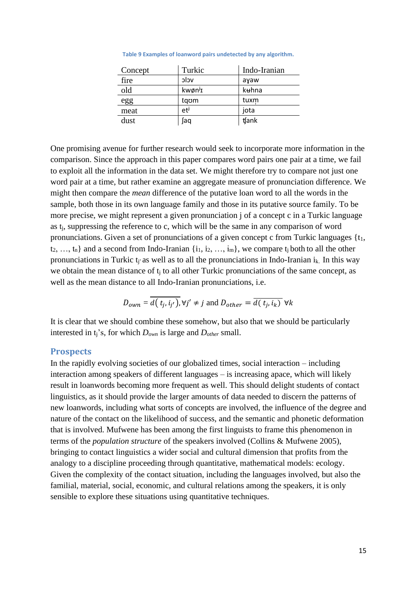| Concept | Turkic              | Indo-Iranian |
|---------|---------------------|--------------|
| fire    | vclc                | ayaw         |
| old     | kwøn <sup>j</sup> I | kuhna        |
| egg     | taom                | tuxm         |
| meat    | et <sup>j</sup>     | jota         |
| dust    | aq)                 | tank         |

**Table 9 Examples of loanword pairs undetected by any algorithm.**

One promising avenue for further research would seek to incorporate more information in the comparison. Since the approach in this paper compares word pairs one pair at a time, we fail to exploit all the information in the data set. We might therefore try to compare not just one word pair at a time, but rather examine an aggregate measure of pronunciation difference. We might then compare the *mean* difference of the putative loan word to all the words in the sample, both those in its own language family and those in its putative source family. To be more precise, we might represent a given pronunciation j of a concept c in a Turkic language as t<sub>i</sub>, suppressing the reference to c, which will be the same in any comparison of word pronunciations. Given a set of pronunciations of a given concept c from Turkic languages  $\{t_1,$  $t_2, ..., t_n$  and a second from Indo-Iranian  $\{i_1, i_2, ..., i_m\}$ , we compare  $t_i$  both to all the other pronunciations in Turkic t<sub>i</sub> as well as to all the pronunciations in Indo-Iranian i<sub>k</sub>. In this way we obtain the mean distance of  $t_i$  to all other Turkic pronunciations of the same concept, as well as the mean distance to all Indo-Iranian pronunciations, i.e.

$$
D_{own} = \overline{d(t_j, i_{j'})}, \forall j' \neq j \text{ and } D_{other} = \overline{d(t_j, i_k)} \ \forall k
$$

It is clear that we should combine these somehow, but also that we should be particularly interested in tj's, for which *Down* is large and *Dother* small.

#### **Prospects**

In the rapidly evolving societies of our globalized times, social interaction – including interaction among speakers of different languages – is increasing apace, which will likely result in loanwords becoming more frequent as well. This should delight students of contact linguistics, as it should provide the larger amounts of data needed to discern the patterns of new loanwords, including what sorts of concepts are involved, the influence of the degree and nature of the contact on the likelihood of success, and the semantic and phonetic deformation that is involved. Mufwene has been among the first linguists to frame this phenomenon in terms of the *population structure* of the speakers involved (Collins & Mufwene 2005), bringing to contact linguistics a wider social and cultural dimension that profits from the analogy to a discipline proceeding through quantitative, mathematical models: ecology. Given the complexity of the contact situation, including the languages involved, but also the familial, material, social, economic, and cultural relations among the speakers, it is only sensible to explore these situations using quantitative techniques.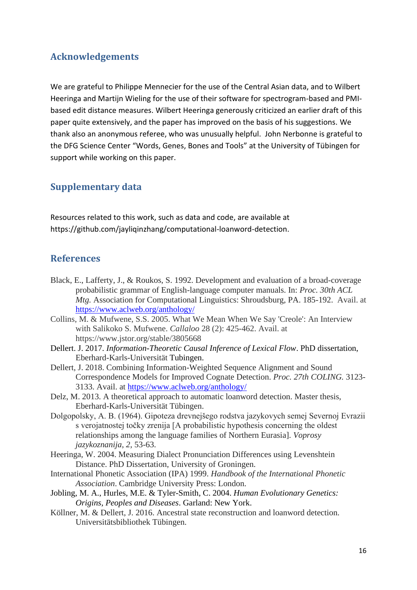# **Acknowledgements**

We are grateful to Philippe Mennecier for the use of the Central Asian data, and to Wilbert Heeringa and Martijn Wieling for the use of their software for spectrogram-based and PMIbased edit distance measures. Wilbert Heeringa generously criticized an earlier draft of this paper quite extensively, and the paper has improved on the basis of his suggestions. We thank also an anonymous referee, who was unusually helpful. John Nerbonne is grateful to the DFG Science Center "Words, Genes, Bones and Tools" at the University of Tübingen for support while working on this paper.

# **Supplementary data**

Resources related to this work, such as data and code, are available at https://github.com/jayliqinzhang/computational-loanword-detection.

## **References**

- Black, E., Lafferty, J., & Roukos, S. 1992. Development and evaluation of a broad-coverage probabilistic grammar of English-language computer manuals. In: *Proc. 30th ACL Mtg.* Association for Computational Linguistics: Shroudsburg, PA. 185-192. Avail. at <https://www.aclweb.org/anthology/>
- Collins, M. & Mufwene, S.S. 2005. What We Mean When We Say 'Creole': An Interview with Salikoko S. Mufwene. *Callaloo* 28 (2): 425-462. Avail. at https://www.jstor.org/stable/3805668
- Dellert. J. 2017. *Information-Theoretic Causal Inference of Lexical Flow*. PhD dissertation, Eberhard-Karls-Universität Tubingen.
- Dellert, J. 2018. Combining Information-Weighted Sequence Alignment and Sound Correspondence Models for Improved Cognate Detection. *Proc. 27th COLING.* 3123- 3133. Avail. at<https://www.aclweb.org/anthology/>
- Delz, M. 2013. A theoretical approach to automatic loanword detection. Master thesis, Eberhard-Karls-Universität Tübingen.
- Dolgopolsky, A. B. (1964). Gipoteza drevnejšego rodstva jazykovych semej Severnoj Evrazii s verojatnostej točky zrenija [A probabilistic hypothesis concerning the oldest relationships among the language families of Northern Eurasia]. *Voprosy jazykoznanija*, *2*, 53-63.
- Heeringa, W. 2004. Measuring Dialect Pronunciation Differences using Levenshtein Distance. PhD Dissertation, University of Groningen.
- International Phonetic Association (IPA) 1999. *Handbook of the International Phonetic Association*. Cambridge University Press: London.
- Jobling, M. A., Hurles, M.E. & Tyler-Smith, C. 2004. *Human Evolutionary Genetics: Origins, Peoples and Diseases*. Garland: New York.
- Köllner, M. & Dellert, J. 2016. Ancestral state reconstruction and loanword detection. Universitätsbibliothek Tübingen.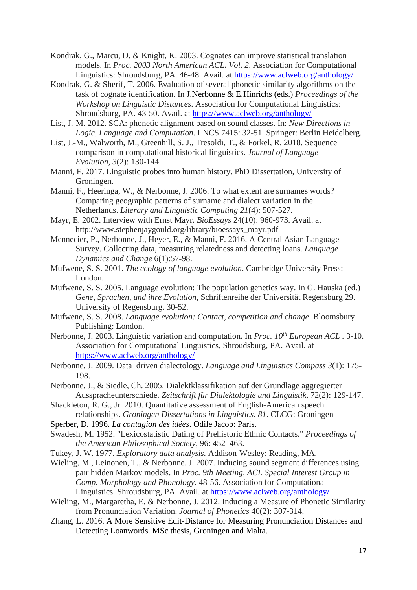Kondrak, G., Marcu, D. & Knight, K. 2003. Cognates can improve statistical translation models. In *Proc. 2003 North American ACL. Vol. 2*. Association for Computational Linguistics: Shroudsburg, PA. 46-48. Avail. at<https://www.aclweb.org/anthology/>

- Kondrak, G. & Sherif, T. 2006. Evaluation of several phonetic similarity algorithms on the task of cognate identification. In J.Nerbonne & E.Hinrichs (eds.) *Proceedings of the Workshop on Linguistic Distances*. Association for Computational Linguistics: Shroudsburg, PA. 43-50. Avail. at<https://www.aclweb.org/anthology/>
- List, J.-M. 2012. SCA: phonetic alignment based on sound classes. In: *New Directions in Logic, Language and Computation*. LNCS 7415: 32-51. Springer: Berlin Heidelberg.
- List, J.-M., Walworth, M., Greenhill, S. J., Tresoldi, T., & Forkel, R. 2018. Sequence comparison in computational historical linguistics. *Journal of Language Evolution*, *3*(2): 130-144.
- Manni, F. 2017. Linguistic probes into human history. PhD Dissertation, University of Groningen.
- Manni, F., Heeringa, W., & Nerbonne, J. 2006. To what extent are surnames words? Comparing geographic patterns of surname and dialect variation in the Netherlands. *Literary and Linguistic Computing 21*(4): 507-527.
- Mayr, E. 2002. Interview with Ernst Mayr. *BioEssays* 24(10): 960-973. Avail. at http://www.stephenjaygould.org/library/bioessays\_mayr.pdf
- Mennecier, P., Nerbonne, J., Heyer, E., & Manni, F. 2016. A Central Asian Language Survey. Collecting data, measuring relatedness and detecting loans. *Language Dynamics and Change* 6(1):57-98.
- Mufwene, S. S. 2001. *The ecology of language evolution*. Cambridge University Press: London.
- Mufwene, S. S. 2005. Language evolution: The population genetics way. In G. Hauska (ed.) *Gene, Sprachen, und ihre Evolution*, Schriftenreihe der Universität Regensburg 29. University of Regensburg. 30-52.
- Mufwene, S. S. 2008. *Language evolution: Contact, competition and change*. Bloomsbury Publishing: London.
- Nerbonne, J. 2003. Linguistic variation and computation. In *Proc. 10th European ACL .* 3-10. Association for Computational Linguistics, Shroudsburg, PA. Avail. at <https://www.aclweb.org/anthology/>
- Nerbonne, J. 2009. Data-driven dialectology. *Language and Linguistics Compass 3*(1): 175- 198.
- Nerbonne, J., & Siedle, Ch. 2005. Dialektklassifikation auf der Grundlage aggregierter Ausspracheunterschiede. *Zeitschrift für Dialektologie und Linguistik*, 72(2): 129-147.
- Shackleton, R. G., Jr. 2010. Quantitative assessment of English-American speech relationships. *Groningen Dissertations in Linguistics. 81*. CLCG: Groningen
- Sperber, D. 1996. *La contagion des idées*. Odile Jacob: Paris.
- Swadesh, M. 1952. "Lexicostatistic Dating of Prehistoric Ethnic Contacts." *Proceedings of the American Philosophical Society*, 96: 452–463.
- Tukey, J. W. 1977. *Exploratory data analysis.* Addison-Wesley: Reading, MA.
- Wieling, M., Leinonen, T., & Nerbonne, J. 2007. Inducing sound segment differences using pair hidden Markov models. In *Proc. 9th Meeting, ACL Special Interest Group in Comp. Morphology and Phonology*. 48-56. Association for Computational Linguistics. Shroudsburg, PA. Avail. at<https://www.aclweb.org/anthology/>
- Wieling, M., Margaretha, E. & Nerbonne, J. 2012. Inducing a Measure of Phonetic Similarity from Pronunciation Variation. *Journal of Phonetics* 40(2): 307-314.
- Zhang, L. 2016. A More Sensitive Edit-Distance for Measuring Pronunciation Distances and Detecting Loanwords. MSc thesis, Groningen and Malta.